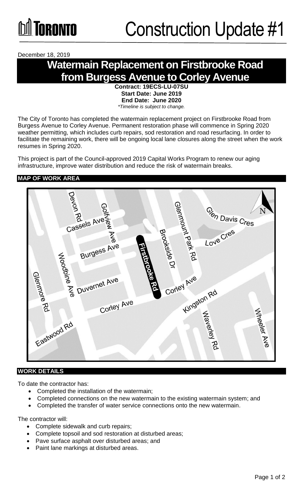December 18, 2019

# **Watermain Replacement on Firstbrooke Road from Burgess Avenue to Corley Avenue**

**Contract: 19ECS-LU-07SU Start Date: June 2019 End Date: June 2020**  *\*Timeline is subject to change.*

The City of Toronto has completed the watermain replacement project on Firstbrooke Road from Burgess Avenue to Corley Avenue. Permanent restoration phase will commence in Spring 2020 weather permitting, which includes curb repairs, sod restoration and road resurfacing. In order to facilitate the remaining work, there will be ongoing local lane closures along the street when the work resumes in Spring 2020.

This project is part of the Council-approved 2019 Capital Works Program to renew our aging infrastructure, improve water distribution and reduce the risk of watermain breaks.

### **MAP OF WORK AREA**



### **WORK DETAILS**

To date the contractor has:

- Completed the installation of the watermain;
- Completed connections on the new watermain to the existing watermain system; and
- Completed the transfer of water service connections onto the new watermain.

The contractor will:

- Complete sidewalk and curb repairs;
- Complete topsoil and sod restoration at disturbed areas;
- Pave surface asphalt over disturbed areas; and
- Paint lane markings at disturbed areas.